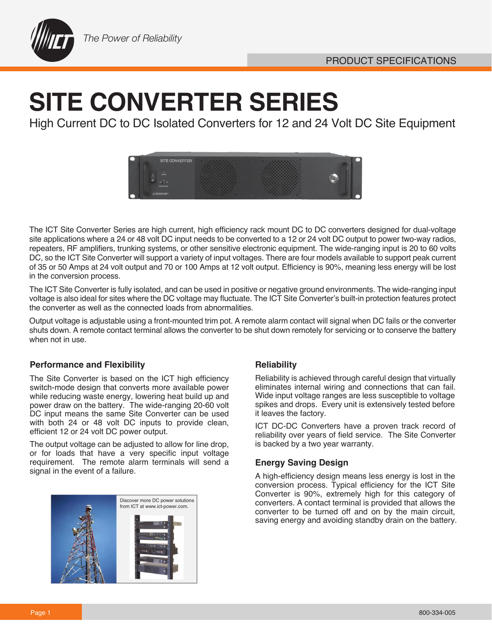

# **SITE CONVERTER SERIES**

High Current DC to DC Isolated Converters for 12 and 24 Volt DC Site Equipment



The ICT Site Converter Series are high current, high efficiency rack mount DC to DC converters designed for dual-voltage site applications where a 24 or 48 volt DC input needs to be converted to a 12 or 24 volt DC output to power two-way radios, repeaters, RF amplifiers, trunking systems, or other sensitive electronic equipment. The wide-ranging input is 20 to 60 volts DC, so the ICT Site Converter will support a variety of input voltages. There are four models available to support peak current of 35 or 50 Amps at 24 volt output and 70 or 100 Amps at 12 volt output. Efficiency is 90%, meaning less energy will be lost in the conversion process.

The ICT Site Converter is fully isolated, and can be used in positive or negative ground environments. The wide-ranging input voltage is also ideal for sites where the DC voltage may fluctuate. The ICT Site Converter's built-in protection features protect the converter as well as the connected loads from abnormalities.

Output voltage is adjustable using a front-mounted trim pot. A remote alarm contact will signal when DC fails or the converter shuts down. A remote contact terminal allows the converter to be shut down remotely for servicing or to conserve the battery when not in use.

### **Performance and Flexibility**  The Reliability Reliability

The Site Converter is based on the ICT high efficiency switch-mode design that converts more available power while reducing waste energy, lowering heat build up and power draw on the battery. The wide-ranging 20-60 volt DC input means the same Site Converter can be used with both 24 or 48 volt DC inputs to provide clean, efficient 12 or 24 volt DC power output.

The output voltage can be adjusted to allow for line drop, or for loads that have a very specific input voltage requirement. The remote alarm terminals will send a signal in the event of a failure.



Reliability is achieved through careful design that virtually eliminates internal wiring and connections that can fail. Wide input voltage ranges are less susceptible to voltage spikes and drops. Every unit is extensively tested before it leaves the factory.

ICT DC-DC Converters have a proven track record of reliability over years of field service. The Site Converter is backed by a two year warranty.

### **Energy Saving Design**

A high-efficiency design means less energy is lost in the conversion process. Typical efficiency for the ICT Site Converter is 90%, extremely high for this category of converters. A contact terminal is provided that allows the converter to be turned off and on by the main circuit, saving energy and avoiding standby drain on the battery.